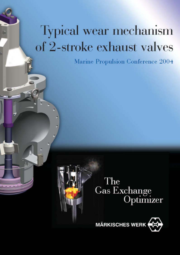# **Typical wear mechanism** of 2-stroke exhaust valves

Marine Propulsion Conference 2004



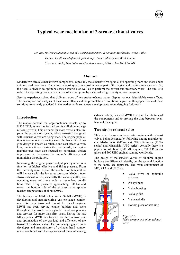# **Typical wear mechanism of 2-stroke exhaust valves**

 *Dr. Ing. Holger Fellmann, Head of 2-stroke department & service; Märkisches Werk GmbH Thomas Groß, Head of development department; Märkisches Werk GmbH Torsten Ludwig, Head of marketing department; Märkisches Werk GmbH* 

#### **Abstract**

Modern two-stroke exhaust valve components, especially the exhaust valve spindle, are operating more and more under extreme load conditions. The whole exhaust system is a cost intensive part of the engine and requires much service. So, the need is obvious to optimize service intervals as well as to perform the correct and necessary work. The aim is to reduce the operating costs over a period of several years by means of a high quality service program.

Service experiences show that different types of two-stroke exhaust valves display various, identifiable wear effects. The description and analysis of these wear effects and the presentation of solutions is given in this paper. Some of these solutions are already practiced in the market while some new developments are undergoing field-tests.

#### **Introduction**

The market demand for large container vessels, up to 8,500 TEU, as well as for tankers, is still showing significant growth. This demand for more vessels also impacts the propulsion system, where two-stroke engines with exhaust valves are being used. The engine population is continuously growing since the basic diesel engine design is known as reliable and cost effective with long running times. During the past decade, the engine manufactures have also focused on permanent design improvements, increasing the engine's efficiency and minimizing the pollution.

Increasing the engine power output per cylinder is a function of higher effective and firing pressure. From the thermodynamic aspect, the combustion temperature will increase with the increased pressure. Modern twostroke exhaust valves, especially the valve spindles, are operating more and more under extreme load conditions. With firing pressures approaching 150 bar and more, the bottom side of the exhaust valve spindle reaches temperatures of about 650°C.

The business of Märkisches Werk GmbH (MWH) is developing and manufacturing gas exchange components for large two- and four-stroke diesel engines. MWH has been serving engine builders and users throughout the world with cylinder head components and services for more than fifty years. During the last fifteen years MWH has focused on the improvement and optimization of the gas load and efficiency of the two-stroke exhaust valve. The knowledge gained as a developer and manufacturer of cylinder head components, combined with the experience of remanufacturing exhaust valves, has lead MWH to extend the life time of the components and to prolong the time between overhauls of the engine.

#### **Two-stroke exhaust valve**

This paper focuses on two-stroke engines with exhaust valves being designed by following engine manufacturers: MAN-B&W (MC-series), Wärtsilä-Sulzer (RTAseries) and Mitsubishi (UEC-series). Actually there is a population of about 8,000 MC engines, 2,000 RTA engines and 500 UEC engines running worldwide.

The design of the exhaust valves of all three engine builders are different in details, but the general function is the same, see figure-01. The main components of MC, RTA and UEC are:



- Valve drive or hydraulic actuator
- Air cylinder
- Valve housing
- Valve guide
- Valve spindle
- Bottom piece or seat ring

*Figure 01: Main components of an exhaust valve* 

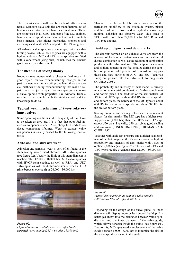

The exhaust valve spindle can be made of different materials. Standard valve spindles are manufactured out of heat resistance steel with a hard faced seat area. These are being used in all UEC- and part of the MC engines. Nimonic valve spindles are manufactured out of nickelbased material with higher mechanical properties and are being used in all RTA- and part of the MC-engines.

All exhaust valve spindles are equipped with a valve turning device. While UEC engines are equipped with a hydraulic device, MC and RTA valve spindles are fitted with a vane wheel (wing bush), which uses the exhaust gas to rotate the valve spindle.

# **The meaning of saving money**

Nobody saves money with a cheap or bad repair. A good repair, lets say remanufacturing, changes an old part to a new one. As we will prove later, there are special methods of doing remanufacturing that make a repair more than just a repair. For example you can make a valve spindle with properties like Nimonic from a standard valve spindle, with the right method and the knowledge to do so.

### **Typical wear mechanism of two-stroke exhaust valves**

Some operating conditions, like the quality of fuel, have to be taken as they are. It's a fact that poor fuel increases components wear. Also, cheap fuel leads to reduced component lifetimes. Wear to exhaust valve components is usually caused by the following mechanism:

# **Adhesion and abrasive wear**

Adhesion and abrasive wear is very often found in the stem sealing area of hard chromed, MC valve spindles (see figure 02). Usually the limit of this stem diameter is reached after 12,000 - 18,000 hrs. MC valve spindles with HVOF-stem coating, as well as RTA- and UEC valve spindles with hard-chromed stems, reach a TBO (time between overhaul) of 24,000 - 36,000 hrs.



*Figure 02: Physical adhesion and abrasive wear of a hardchromed valve spindle (MC-type after 15,000 hrs)*

Thanks to the favorable lubrication properties of the permanent luboilflow of the hydraulic system, piston and liner of valve drive and air cylinder show only minimal adhesion and abrasive wear. This leads to TBOs with more than 72,000 hrs for MC, RTA and UEC type engines.

# **Build up of deposits and dent marks**

The deposits formed on an exhaust valve are from the reaction of fuel-borne contaminants and lubrication oil during combustion as well as the reaction of combustion products with valve material. The sulphur, vanadium and sodium content in the fuel oxidize during the combustion process. Solid products of combustion, slag particles and hard particles of  $Al_2O_3$  and  $SiO_2$  (catalytic fines) are pressed into the valve seat, forming dents (NANDA 2003).

The probability and intensity of dent marks is directly related to the material combination of valve spindle seat and bottom piece. The hardness of the seat material of RTA- and UEC-type is about 400 HV for valve spindle and bottom piece, the hardness of the MC-types is about 400 HV for seat of valve spindle and about 500 HV for the seat of bottom piece.

Seating pressure and sealing velocity are also relevant factors for dent marks. The MC-type has a higher seating pressure (>700 bar) than the UEC- and RTA-type (about 550 bar). Typically, 550 bar gives good sealing and low wear. (KINGSTON-JONES, THOMAS, RAD-CLIFF 1990)

Together with high seat pressure and a higher seat hardness of the bottom piece, the MC-type shows the highest probability and intensity of dent marks with TBOs of 6,000-18,000 hrs (see figure 03). The seats of RTA- and UEC-types require overhauls after 12,000 - 36,000 hrs.



*Figure 03: Typical dent marks of the seat of a valve spindle (MC60-type Nimonic after 8,300 hrs)*

Depending on the design of the valve guide, its inner diameter will display more or less deposit buildup. Exhaust gas enters into the clearance between valve spindle stem and the inner diameter of the valve guide, which allows deposits inside the guide (see figure 04). Due to this, MC-types need a replacement of the valve guide between 6,000 - 8,000 hrs to minimize the risk of the valve spindle sticking in the guide.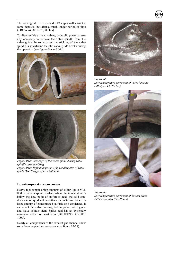The valve guide of UEC- and RTA-types will show the same deposits, but after a much longer period of time (TBO is 24,000 to 36,000 hrs).

To disassemble exhaust valves, hydraulic power is usually necessary to remove the valve spindle from the valve guide. In some cases the sticking of the valve spindle is so extreme that the valve guide breaks during the operation (see figure 04a and 04b).





*Figure 04a: Breakage of the valve guide during valve spindle disassembling Figure 04b: Typical deposits of inner diameter of valve guide (MC70-type after 8,200 hrs)*

#### **Low-temperature corrosion**

Heavy fuel contains high amounts of sulfur (up to 5%). If there is an exposed surface where the temperature is below the dew point of sulfurous acid, the acid condenses into liquid and can attack the metal surfaces. If a large amount of concentrated sulfuric acid condenses, it can attack the valve housing, bottom piece, valve guide and valve spindle stem. Sulfur acid has an extremely corrosive effect on cast iron (BEHRENS, GROTH 1990).

Nearly all components of the exhaust gas channel show some low-temperature corrosion (see figure 05-07).



*Figure 05: Low temperature corrosion of valve housing (MC-type 43,700 hrs)* 



*Figure 06: Low temperature corrosion of bottom piece (RTA-type after 28,420 hrs)*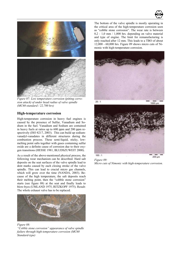



*Figure 07: Low temperature corrosion (pitting corrosion attack) of under head radius of valve spindle (MC60-standard / 22,700 hrs)*

### **High-temperature corrosion**

High-temperature corrosion in heavy fuel engines is caused by the presence of Sulfur, Vanadium and Sodium in the fuel. Vanadium and Sodium are contained in heavy fuels at ratios up to 600 ppm and 200 ppm respectively (ISO 8217, 2003). This can build up sodiumvanadyl-vanadates in different structures during the combustion process. These semi-liquid, sticky, lowmelting point salts together with gases containing sulfur oxide are a definite cause of corrosion due to their oxygen transitions (HESSE 1981, BLUDSZUWEIT 2000).

As a result of the above-mentioned physical process, the following wear mechanism can be described. Hard salt deposits on the seat surfaces of the valve spindle lead to dent marks caused by each closing stroke of the valve spindle. This can lead to crucial micro gas channels, which will grow over the time (NANDA, 2003). Because of the high temperature, the salt deposits reach their melting point, then the "cobble stone corrosion" starts (see figure 08) at the seat and finally leads to blow-byes (UMLAND 1975, RITZKOPF 1975). Result: The whole exhaust valve has to be replaced.



*Figure 08: "Cobble stone corrosion" appearance of valve spindle failure through high-temperature corrosion (MC60 Standard-type)*

The bottom of the valve spindle is mostly operating in the critical area of the high-temperature corrosion seen as "cobble stone corrosion". The wear rate is between  $0,2 - 1,0$  mm  $/ 1,000$  hrs. depending on valve material and type of engine. The limit for remanufacturing is only reached after 12 mm. This leads to a TBO of about 12,000 - 60,000 hrs. Figure 09 shows micro cuts of Nimonic with high-temperature corrosion.





200 µm *Figure 09: Micro cuts of Nimonic with high-temperature corrosion.*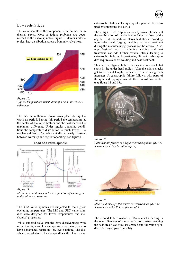

#### **Low cycle fatigue**

The valve spindle is the component with the maximum thermal stress. Most of fatigue problems are documented at the valve spindles. Figure 10 demonstrates a typical heat distribution across a Nimonic valve head.



*Figure 10: Typical temperature distribution of a Nimonic exhaust valve head* 

The maximum thermal stress takes place during the warm-up period. During this period the temperature at the center of the valve bottom and the seat reaches the maximum difference. Under regular operating conditions the temperature distribution is much lower. The mechanical load of a valve spindle is nearly constant between warm-up and regular operating, see figure 11.

Load of a valve spindle



*Figure 11:* 

*Mechanical and thermal load as function of running in and stationary operation* 

The RTA valve spindles are subjected to the highest operating temperatures. The MC and UEC valve spindles were designed for lower temperatures and mechanical properties.

While standard valve spindles have disadvantages with respect to high- and low- temperature corrosion, they do have advantages regarding low cycle fatigue. The disadvantages of standard valve spindles will seldom cause catastrophic failures. The quality of repair can be measured by comparing the TBOs.

The design of valve spindles usually takes into account the combination of mechanical and thermal load of the engine. But, the addition of residual stress, caused by non-professional forging, welding or heat treatment during the manufacturing process can be critical. Also, unprofessional repairs, including welding and heat treatment, can add further residual stress, leading to catastrophic failures. In particular, Nimonic valve spindles require excellent welding and heat treatment.

There are two typical failure reasons. One is a crack that starts in the under head radius. After the micro cracks get to a critical length, the speed of the crack growth increases. A catastrophic failure follows, with parts of the spindle dropping down into the combustion chamber (see figure 12 and 13).



*Figure 12: Catastrophic failure of a repaired valve spindle (RTA72 Nimonic-type 740 hrs after repair)*



*Figure 13: Macro cut through the center of a valve head (RTA62 Nimonic-type 6,430 hrs after repair)*

The second failure reason is: Micro cracks starting in the outer diameter of the valve bottom. After reaching the seat area blow-byes are created and the valve spindle is destroyed (see figure 14).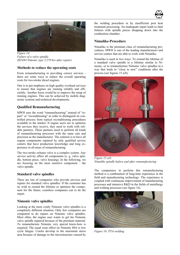



*Figure 14: Failure of a valve spindle (RTA84 Nimonic type 5,270 hrs after repair).* 

#### **Methods to reduce the operating costs**

From remanufacturing to providing correct services there are some ways to reduce the overall operating costs for two-stroke diesel engines.

One is to put emphasis on high quality overhaul services to ensure that engines are running reliably and efficiently. Another focus would be to improve the setup of running engines. This can be achieved by mobile diagnostic systems and technical developments.

### **Qualified Remanufacturing**

MWH uses the word "remanufacturing" instead of "repair" or "reconditioning" in order to distinguish its controlled process from typical reconditioning procedures available in the market. If engine users are to optimize the services they receive, they need to work with reliable partners. These partners need to perform all kinds of remanufacturing processes with the same care and precision as the manufacturer. The solution is to have all engine components repaired by only qualified service centers that have production knowledge and long experience in all areas of remanufacturing.

The two-stroke exhaust valve is a complex system. Any service activity affect all components (e. g. valve spindle, bottom piece, valve housing). In the following, we are focusing on the most sensitive component – the valve spindle.

#### **Standard valve spindles**

There are lots of companies who provide services and repairs for standard valve spindles. If the customer has no wish to extend the lifetime or optimize the component for the future, countless companies can to do the repair.

#### **Nimonic valve spindles**

Looking at the more costly Nimonic valve spindles is a completely different situation. Only few companies are competent to do repairs on Nimonic valve spindles. Most often, the engine user wants to get his Nimonic valve spindle repaired because of the premium material. To remanufacture Nimonic very special know-how is required. The usual wear effect on Nimonic 80A is low cycle fatigue. Cracks develop in the maximum stress area because of damage to the microstructure caused by the welding procedure or by insufficient post heat treatment processing. An inadequate repair leads to fatal failures with spindle pieces dropping down into the combustion chamber.

#### **Nimalike-Procedure**

Nimalike is the premium class of remanufacturing procedures. MWH is one of the leading manufacturers and service centers that are able to work with Nimalike.

Nimalike is used in two ways: To extend the lifetime of a standard valve spindle to a lifetime similar to Nimonic, or to remanufacture Nimonic valve spindles in a way that leads to "close to new" conditions after the process (see figures 15 a/b).



*Figure 15 a/b: Nimalike spindle before and after remanufacturing* 

The competence to perform this remanufacturing method is a combination of long-time experience in the field and manufacturing technology. The experience is coupled with continuous improvement of manufacturing processes and intensive R&D in the fields of metallurgy and welding processes (see figure 16).



*Figure 16: PTA-welding*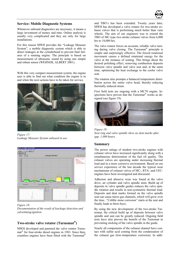

#### **Service: Mobile Diagnostic Systems**

Whenever onboard diagnostics are necessary, it means a large investment of money and time. Online analysis is usually very complicated and they are only for large installations.

For this reason MWH provides the "Leakage Measure System", a mobile diagnostic system which is able to detect leakages at the cylinderhead to prevent fatal failures of a running engine. The principle is based on measurement of ultrasonic sound by using one simple and robust sensor (WEHNER, ALBERT 2001).

With this very compact measurement system, the engine user is able to find out what condition the engine is in and when the next actions have to be taken for service.



*Figure 17: Leakage Measure System onboard in use* 



*Figure 18: Documentation of the result of leackage detection and valvetiming/ignition*

# **Two-stroke valve rotator (Turnomat®)**

MWH developed and patented the valve rotator Turnomat ® for four-stroke diesel engines in 1983. Since then, countless engines have been fitted with the Turnomat®

and TBO's has been extended. Twenty years later, MWH has developed a valve rotator for two-stroke exhaust valves that is performing much better than vane wheels. The aim of our engineers was to extend the TBO of MC-type two-stroke exhaust valves from 6,000 hrs to 18,000 hrs.

The valve rotator forces an accurate, reliable valve turning during valve closing. The Turnomat® principle is simple and surprisingly effective: The forced rotational movement causes a defined rotational energy for the valve at the instance of seating. This brings about the desired polishing effect, removing combustion deposits between valve spindle and valve seat and, at the same time, optimizing the heat exchange to the cooler valve seat.

The rotation also prompts a balanced temperature distribution across the entire valve head, thereby reducing thermally induced strain.

First field tests are ongoing with a MC70 engine. Inspections have proven that the Turnomat® works as designed (see figure 19).



*Figure 19: Seat ring and valve spindle show no dent marks after app. 1,000 hours.* 

#### **Summary**

The power ratings of modern two-stroke engines with exhaust valves have increased significantly along with a simultaneous deterioration of the fuel oil quality. The exhaust valves are operating under increasing thermal load and in a more corrosive environment. Based on our service experience of the last decade the typical wear mechanisms of exhaust valves of MC-, RTA- and UECengines have been investigated and discussed.

Adhesion and abrasive wear was found at the valve drive, air cylinder and valve spindle stem. Build up of deposits in valve spindle guides reduces the valve spindle rotation and results in non-symmetric thermal load. Deposits and dent marks formed on the valve spindle seat can cause micro gas channels, which will grow over the time.. "Cobble stone corrosion" starts at the seat and finally leads to blow-byes.

By using the new development of the two-stroke Turnomat, the critical build up of deposits between valve spindle and seat can be greatly reduced. Ongoing field tests have also proven the benefit of the Turnomat in preventing sticking of the valve spindle in the guide.

Nearly all components of the exhaust channel have contact with sulfur acid coming from the condensation of the exhaust gas (low-temperature corrosion). In addi-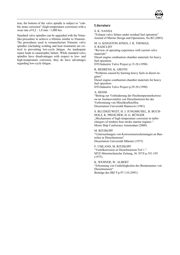

tion, the bottom of the valve spindle is subject to "cobble stone corrosion" (high-temperature corrosion) with a wear rate of 0,2 - 1,0 mm / 1,000 hrs.

Standard valve spindles can be upgraded with the Nimalike-procedure to achieve a lifetime similar to Nimonic. The procedures used to remanufacture Nimonic valve spindles (including welding and heat treatment) are critical to preventing low-cycle fatigue. An inadequate repair leads to catastrophic failure. While standard valve spindles have disadvantages with respect to low- and high-temperature corrosion, they do have advantages regarding low-cycle fatigue.

## **Literature**

#### S. K. NANDA

"Exhaust valve failure under residual fuel operation" Journal of Marine Design and Operations, No.B2 (2003)

M. G. KINGSTON-JONES, J. R. THOMAS,

S. RADCLIFF

"Review of operating experience with current valve materials"

Diesel engine combustion chamber materials for heavy fuel operation

DTI/Industrie Valve Project p.15-28 (1990)

R. BEHRENS, K. GROTH

"Problems caused by burning heavy fuels in diesel engines"

Diesel engine combustion chamber materials for heavy fuel operation

DTI/Industrie Valve Project p.29-38 (1990)

#### A. HESSE

"Beitrag zur Verhinderung der Hochtemperaturkorrosion an Auslassventilen von Dieselmotoren bei der Verbrennung von Mischkraftstoffen. Dissertation Universität Hannover (1981)

S. BLUDSZUWEIT H J JUNGMICHEL, B BUCH-HOLZ, K. PRESCHER, H. G. BÜNGER "Mechanisms of high temperature corrosion in turbochargers of modern four-stroke marine engines " Motor Ship Conference Amsterdam (2000)

M. RITZKOPF "Untersuchungen von Korrosionserscheinungen an Bauteilen in Dieselmotoren" Dissertation Universität Münster (1975)

F. UMLAND, M. RITZKOPF "Ventilkorrosion in Dieselmotoren:Teil 1 " MTZ-Motortechnische Zeitung, 36. H7/8 p.191-195 (1975)

K. WEHNER, W. ALBERT "Erkennung von Undichtigkeiten des Brennraumes von Dieselmotoren" Beiträge des IBZ 9 p.97-110 (2991)